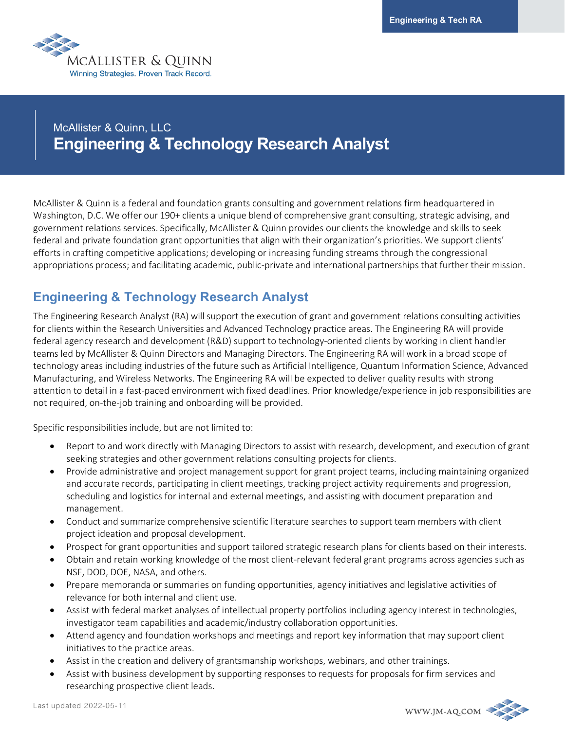

# McAllister & Quinn, LLC **Engineering & Technology Research Analyst**

McAllister & Quinn is a federal and foundation grants consulting and government relations firm headquartered in Washington, D.C. We offer our 190+ clients a unique blend of comprehensive grant consulting, strategic advising, and government relations services. Specifically, McAllister & Quinn provides our clients the knowledge and skills to seek federal and private foundation grant opportunities that align with their organization's priorities. We support clients' efforts in crafting competitive applications; developing or increasing funding streams through the congressional appropriations process; and facilitating academic, public-private and international partnerships that further their mission.

## **Engineering & Technology Research Analyst**

The Engineering Research Analyst (RA) will support the execution of grant and government relations consulting activities for clients within the Research Universities and Advanced Technology practice areas. The Engineering RA will provide federal agency research and development (R&D) support to technology-oriented clients by working in client handler teams led by McAllister & Quinn Directors and Managing Directors. The Engineering RA will work in a broad scope of technology areas including industries of the future such as Artificial Intelligence, Quantum Information Science, Advanced Manufacturing, and Wireless Networks. The Engineering RA will be expected to deliver quality results with strong attention to detail in a fast-paced environment with fixed deadlines. Prior knowledge/experience in job responsibilities are not required, on-the-job training and onboarding will be provided.

Specific responsibilities include, but are not limited to:

- Report to and work directly with Managing Directors to assist with research, development, and execution of grant seeking strategies and other government relations consulting projects for clients.
- Provide administrative and project management support for grant project teams, including maintaining organized and accurate records, participating in client meetings, tracking project activity requirements and progression, scheduling and logistics for internal and external meetings, and assisting with document preparation and management.
- Conduct and summarize comprehensive scientific literature searches to support team members with client project ideation and proposal development.
- Prospect for grant opportunities and support tailored strategic research plans for clients based on their interests.
- Obtain and retain working knowledge of the most client-relevant federal grant programs across agencies such as NSF, DOD, DOE, NASA, and others.
- Prepare memoranda or summaries on funding opportunities, agency initiatives and legislative activities of relevance for both internal and client use.
- Assist with federal market analyses of intellectual property portfolios including agency interest in technologies, investigator team capabilities and academic/industry collaboration opportunities.
- Attend agency and foundation workshops and meetings and report key information that may support client initiatives to the practice areas.
- Assist in the creation and delivery of grantsmanship workshops, webinars, and other trainings.
- Assist with business development by supporting responses to requests for proposals for firm services and researching prospective client leads.